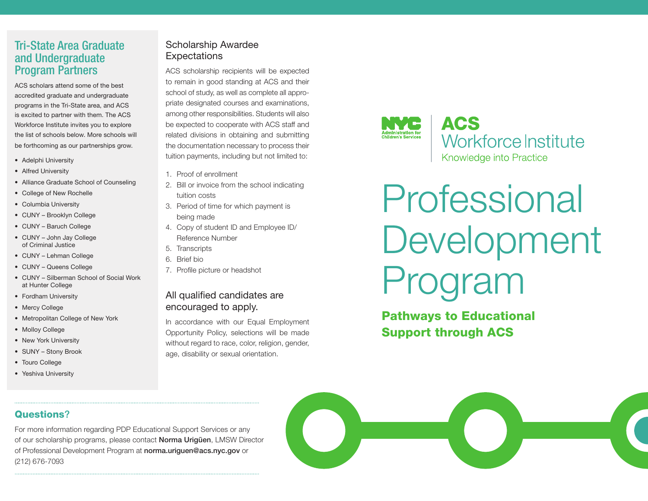## Tri-State Area Graduate and Undergraduate Program Partners

ACS scholars attend some of the best accredited graduate and undergraduate programs in the Tri-State area, and ACS is excited to partner with them. The ACS Workforce Institute invites you to explore the list of schools below. More schools will be forthcoming as our partnerships grow.

- Adelphi University
- Alfred University
- Alliance Graduate School of Counseling
- College of New Rochelle
- Columbia University
- CUNY Brooklyn College
- CUNY Baruch College
- CUNY John Jay College of Criminal Justice
- CUNY Lehman College
- CUNY Queens College
- CUNY Silberman School of Social Work at Hunter College
- Fordham University
- Mercy College
- Metropolitan College of New York
- Molloy College
- New York University
- SUNY Stony Brook
- Touro College
- Yeshiva University

#### Scholarship Awardee **Expectations**

ACS scholarship recipients will be expected to remain in good standing at ACS and their school of study, as well as complete all appropriate designated courses and examinations, among other responsibilities. Students will also be expected to cooperate with ACS staff and related divisions in obtaining and submitting the documentation necessary to process their tuition payments, including but not limited to:

- 1. Proof of enrollment
- 2. Bill or invoice from the school indicating tuition costs
- 3. Period of time for which payment is being made
- 4. Copy of student ID and Employee ID/ Reference Number
- 5. Transcripts
- 6. Brief bio
- 7. Profile picture or headshot

#### All qualified candidates are encouraged to apply.

In accordance with our Equal Employment Opportunity Policy, selections will be made without regard to race, color, religion, gender, age, disability or sexual orientation.



## **ACS Workforce Institute** Knowledge into Practice

# Professional Development Program

## Pathways to Educational Support through ACS

#### Questions?

For more information regarding PDP Educational Support Services or any of our scholarship programs, please contact Norma Urigüen, LMSW Director of Professional Development Program at norma.uriguen@acs.nyc.gov or (212) 676-7093